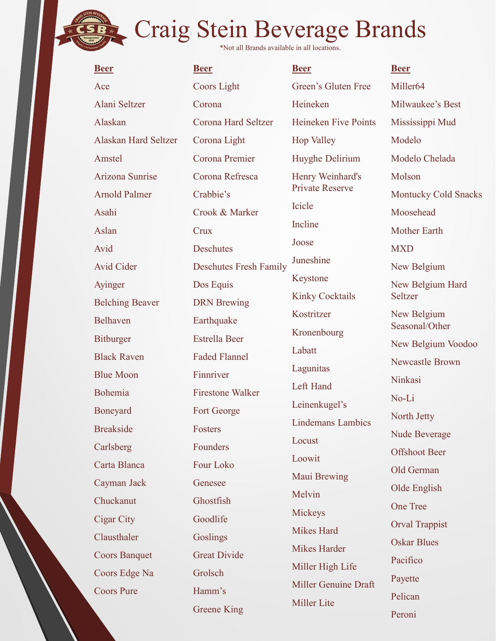\*Not all Brands available in all locations.

| <b>Beer</b>            | <b>Beer</b>                   | <b>Beer</b>              | <b>Beer</b>                   |
|------------------------|-------------------------------|--------------------------|-------------------------------|
| Ace                    | Coors Light                   | Green's Gluten Free      | Miller <sub>64</sub>          |
| Alani Seltzer          | Corona                        | Heineken                 | Milwaukee's Best              |
| Alaskan                | Corona Hard Seltzer           | Heineken Five Points     | Mississippi Mud               |
| Alaskan Hard Seltzer   | Corona Light                  | <b>Hop Valley</b>        | Modelo                        |
| Amstel                 | Corona Premier                | Huyghe Delirium          | Modelo Chelada                |
| Arizona Sunrise        | Corona Refresca               | Henry Weinhard's         | Molson                        |
| <b>Arnold Palmer</b>   | Crabbie's                     | Private Reserve          | <b>Montucky Cold Snacks</b>   |
| Asahi                  | Crook & Marker                | Icicle                   | Moosehead                     |
| Aslan                  | Crux                          | Incline                  | <b>Mother Earth</b>           |
| Avid                   | Deschutes                     | Joose                    | <b>MXD</b>                    |
| Avid Cider             | <b>Deschutes Fresh Family</b> | Juneshine                | New Belgium                   |
| Ayinger                | Dos Equis                     | Keystone                 | New Belgium Hard              |
| <b>Belching Beaver</b> | <b>DRN</b> Brewing            | <b>Kinky Cocktails</b>   | Seltzer                       |
| Belhaven               | Earthquake                    | Kostritzer               | New Belgium<br>Seasonal/Other |
| <b>Bitburger</b>       | <b>Estrella Beer</b>          | Kronenbourg              | New Belgium Voodoo            |
| <b>Black Raven</b>     | <b>Faded Flannel</b>          | Labatt                   | Newcastle Brown               |
| <b>Blue Moon</b>       | Finnriver                     | Lagunitas                | Ninkasi                       |
| Bohemia                | <b>Firestone Walker</b>       | Left Hand                | No-Li                         |
| Boneyard               | Fort George                   | Leinenkugel's            | North Jetty                   |
| <b>Breakside</b>       | Fosters                       | <b>Lindemans Lambics</b> | <b>Nude Beverage</b>          |
| Carlsberg              | Founders                      | Locust                   | <b>Offshoot Beer</b>          |
| Carta Blanca           | Four Loko                     | Loowit                   | Old German                    |
| Cayman Jack            | Genesee                       | Maui Brewing             | Olde English                  |
| Chuckanut              | Ghostfish                     | Melvin                   | One Tree                      |
| Cigar City             | Goodlife                      | Mickeys                  | <b>Orval Trappist</b>         |
| Clausthaler            | Goslings                      | Mikes Hard               | <b>Oskar Blues</b>            |
| <b>Coors Banquet</b>   | <b>Great Divide</b>           | Mikes Harder             | Pacifico                      |
| Coors Edge Na          | Grolsch                       | Miller High Life         | Payette                       |
| <b>Coors Pure</b>      | Hamm's                        | Miller Genuine Draft     | Pelican                       |
|                        | <b>Greene King</b>            | Miller Lite              |                               |

Beer Beer Heineken Milwaukee's Best Heineken Five Points Mississippi Mud Transischer Brand's<br>
Finall locations.<br>
<u>Beer</u><br>
Green's Gluten Free Miller64<br>
Heineken Milwaukee's Best<br>
Heineken Five Points Mississippi Mud<br>
Hop Valley Modelo<br>
Huyghe Delirium Modelo Chelada<br>
Henry Weinhard's Molson<br>
Pri vate Reserve<br>
Montucky Cold Snacks Icicle Moosehead Incline Mother Earth Joose Kostritzer New Belgium Incline<br>
Moose<br>
Joose<br>
Juneshine<br>
Moose<br>
MaxD<br>
Juneshine<br>
New Belgium<br>
Keystone<br>
New Belgium<br>
Hard<br>
Kinky Cocktails<br>
Seltzer<br>
Kostritzer<br>
New Belgium<br>
Seasonal/Other<br>
New Belgium<br>
New Belgium<br>
New Belgium<br>
New Belgium<br>
New Melvin Olde English Miller64 Modelo nds<br>
Miller64<br>
Milwaukee's Best<br>
Mississippi Mud<br>
Modelo<br>
Modelo Chelada<br>
Molson<br>
Montucky Cold Snacks<br>
Moosebeed Molson **nds**<br>
<u>Beer</u><br>
Miller64<br>
Milwaukee's Best<br>
Mississippi Mud<br>
Modelo Chelada<br>
Modelo Chelada<br>
Molson<br>
Montucky Cold Snacks<br>
Moosehead<br>
Mother Earth<br>
MXD MXD and the state of the state of the state of the state of the state of the state of the state of the state o New Belgium Hard Seltzer Seasonal/Other New Belgium Voodoo Newcastle Brown Ninkasi No-Li North Jetty Nude Beverage Offshoot Beer Old German One Tree Orval Trappist Oskar Blues Pacifico Payette Pelican Peroni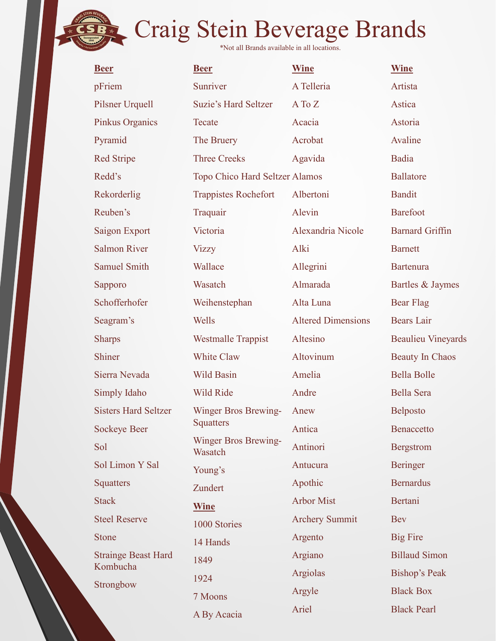| <b>Beer</b>                 | <b>Beer</b>                     | <b>Wine</b>               | <b>Wine</b>               |
|-----------------------------|---------------------------------|---------------------------|---------------------------|
| pFriem                      | Sunriver                        | A Telleria                | Artista                   |
| Pilsner Urquell             | <b>Suzie's Hard Seltzer</b>     | A To Z                    | Astica                    |
| Pinkus Organics             | Tecate                          | Acacia                    | Astoria                   |
| Pyramid                     | The Bruery                      | Acrobat                   | Avaline                   |
| <b>Red Stripe</b>           | <b>Three Creeks</b>             | Agavida                   | Badia                     |
| Redd's                      | Topo Chico Hard Seltzer Alamos  |                           | <b>Ballatore</b>          |
| Rekorderlig                 | <b>Trappistes Rochefort</b>     | Albertoni                 | <b>Bandit</b>             |
| Reuben's                    | Traquair                        | Alevin                    | <b>Barefoot</b>           |
| Saigon Export               | Victoria                        | Alexandria Nicole         | <b>Barnard Griffin</b>    |
| <b>Salmon River</b>         | <b>Vizzy</b>                    | Alki                      | <b>Barnett</b>            |
| <b>Samuel Smith</b>         | Wallace                         | Allegrini                 | Bartenura                 |
| Sapporo                     | Wasatch                         | Almarada                  | Bartles & Jaymes          |
| Schofferhofer               | Weihenstephan                   | Alta Luna                 | <b>Bear Flag</b>          |
| Seagram's                   | Wells                           | <b>Altered Dimensions</b> | <b>Bears</b> Lair         |
| <b>Sharps</b>               | <b>Westmalle Trappist</b>       | Altesino                  | <b>Beaulieu Vineyards</b> |
| Shiner                      | White Claw                      | Altovinum                 | <b>Beauty In Chaos</b>    |
| Sierra Nevada               | Wild Basin                      | Amelia                    | Bella Bolle               |
| Simply Idaho                | Wild Ride                       | Andre                     | Bella Sera                |
| <b>Sisters Hard Seltzer</b> | Winger Bros Brewing-            | Anew                      | Belposto                  |
| <b>Sockeye Beer</b>         | <b>Squatters</b>                | Antica                    | Benaccetto                |
| Sol                         | Winger Bros Brewing-<br>Wasatch | Antinori                  | Bergstrom                 |
| Sol Limon Y Sal             | Young's                         | Antucura                  | Beringer                  |
| Squatters                   | Zundert                         | Apothic                   | <b>Bernardus</b>          |
| <b>Stack</b>                | <b>Wine</b>                     | <b>Arbor Mist</b>         | Bertani                   |
| <b>Steel Reserve</b>        | 1000 Stories                    | <b>Archery Summit</b>     | <b>Bev</b>                |
| <b>Stone</b>                | 14 Hands                        | Argento                   | <b>Big Fire</b>           |
| <b>Strainge Beast Hard</b>  | 1849                            | Argiano                   | <b>Billaud Simon</b>      |
| Kombucha                    | 1924                            | Argiolas                  | Bishop's Peak             |
| Strongbow                   | 7 Moons                         | Argyle                    | <b>Black Box</b>          |
|                             | A By Acacia                     | Ariel                     | <b>Black Pearl</b>        |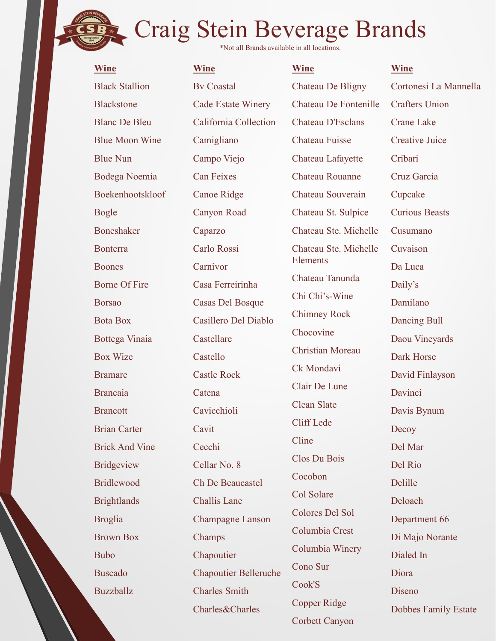| <b>Wine</b>           | <b>Craig Stein Beverage Brands</b><br>*Not all Brands available in all locations.<br><b>Wine</b> | <b>Wine</b>                    | <b>Wine</b>           |
|-----------------------|--------------------------------------------------------------------------------------------------|--------------------------------|-----------------------|
| <b>Black Stallion</b> | <b>By Coastal</b>                                                                                | Chateau De Bligny              | Cortonesi La Mannella |
| <b>Blackstone</b>     | <b>Cade Estate Winery</b>                                                                        | Chateau De Fontenille          | <b>Crafters Union</b> |
| <b>Blanc De Bleu</b>  | California Collection                                                                            | Chateau D'Esclans              | <b>Crane Lake</b>     |
| <b>Blue Moon Wine</b> | Camigliano                                                                                       | <b>Chateau Fuisse</b>          | <b>Creative Juice</b> |
| <b>Blue Nun</b>       | Campo Viejo                                                                                      | Chateau Lafayette              | Cribari               |
| Bodega Noemia         | <b>Can Feixes</b>                                                                                | Chateau Rouanne                | Cruz Garcia           |
| Boekenhootskloof      | <b>Canoe Ridge</b>                                                                               | Chateau Souverain              | Cupcake               |
| <b>Bogle</b>          | Canyon Road                                                                                      | Chateau St. Sulpice            | <b>Curious Beasts</b> |
| Boneshaker            | Caparzo                                                                                          | Chateau Ste. Michelle          | Cusumano              |
| Bonterra              | Carlo Rossi                                                                                      | Chateau Ste. Michelle          | Cuvaison              |
| <b>Boones</b>         | Carnivor                                                                                         | Elements                       | Da Luca               |
| <b>Borne Of Fire</b>  | Casa Ferreirinha                                                                                 | Chateau Tanunda                | Daily's               |
| <b>Borsao</b>         | <b>Casas Del Bosque</b>                                                                          | Chi Chi's-Wine                 | Damilano              |
| <b>Bota Box</b>       | Casillero Del Diablo                                                                             | <b>Chimney Rock</b>            | Dancing Bull          |
| Bottega Vinaia        | Castellare                                                                                       | Chocovine                      | Daou Vineyards        |
| <b>Box Wize</b>       | Castello                                                                                         | <b>Christian Moreau</b>        | Dark Horse            |
| <b>Bramare</b>        | <b>Castle Rock</b>                                                                               | Ck Mondavi                     | David Finlayson       |
| <b>Brancaia</b>       | Catena                                                                                           | Clair De Lune                  | Davinci               |
| <b>Brancott</b>       | Cavicchioli                                                                                      | Clean Slate                    | Davis Bynum           |
| <b>Brian Carter</b>   | Cavit                                                                                            | Cliff Lede                     | Decoy                 |
| <b>Brick And Vine</b> | Cecchi                                                                                           | Cline                          | Del Mar               |
| Bridgeview            | Cellar No. 8                                                                                     | Clos Du Bois                   | Del Rio               |
| <b>Bridlewood</b>     | Ch De Beaucastel                                                                                 | Cocobon                        | Delille               |
| <b>Brightlands</b>    | Challis Lane                                                                                     | Col Solare                     | Deloach               |
| <b>Broglia</b>        | Champagne Lanson                                                                                 | Colores Del Sol                | Department 66         |
| <b>Brown Box</b>      | Champs                                                                                           | Columbia Crest                 | Di Majo Norante       |
| <b>Bubo</b>           | Chapoutier                                                                                       | Columbia Winery                | Dialed In             |
| <b>Buscado</b>        | <b>Chapoutier Belleruche</b>                                                                     | Cono Sur                       | Diora                 |
| Buzzballz             | <b>Charles Smith</b>                                                                             | Cook'S                         | Diseno                |
|                       | Charles&Charles                                                                                  | Copper Ridge<br>Corbett Canyon | Dobbes Family Estate  |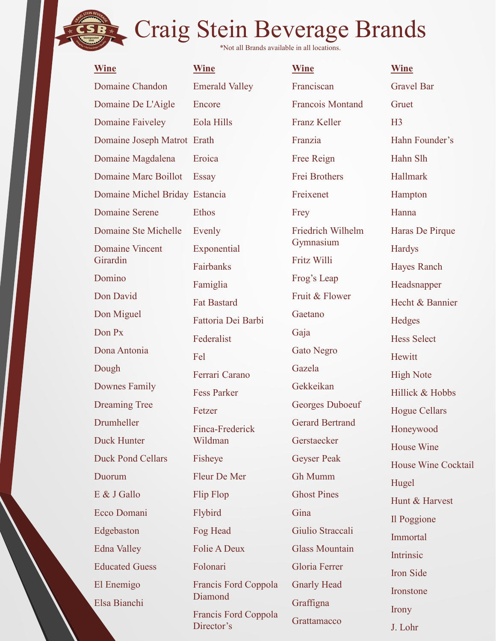\*Not all Brands available in all locations.

| <b>Wine</b>                    | <b>Wine</b>           | <b>Wine</b>             |
|--------------------------------|-----------------------|-------------------------|
| Domaine Chandon                | <b>Emerald Valley</b> | Franciscan              |
| Domaine De L'Aigle             | Encore                | <b>Francois Montand</b> |
| Domaine Faiveley               | Eola Hills            | <b>Franz Keller</b>     |
| Domaine Joseph Matrot Erath    |                       | Franzia                 |
| Domaine Magdalena              | Eroica                | Free Reign              |
| Domaine Marc Boillot           | Essay                 | Frei Brothers           |
| Domaine Michel Briday Estancia |                       | Freixenet               |
| <b>Domaine Serene</b>          | <b>Ethos</b>          | Frey                    |
| Domaine Ste Michelle           | Evenly                | Friedrich Wilhelm       |
| <b>Domaine Vincent</b>         | Exponential           | Gymnasium               |
| Girardin                       | Fairbanks             | Fritz Willi             |
| Domino                         | Famiglia              | Frog's Leap             |
| Don David                      | <b>Fat Bastard</b>    | Fruit & Flower          |
| Don Miguel                     | Fattoria Dei Barbi    | Gaetano                 |
| Don Px                         | Federalist            | Gaja                    |
| Dona Antonia                   | Fel                   | Gato Negro              |
| Dough                          | Ferrari Carano        | Gazela                  |
| Downes Family                  | <b>Fess Parker</b>    | Gekkeikan               |
| <b>Dreaming Tree</b>           | Fetzer                | Georges Duboeuf         |
| Drumheller                     | Finca-Frederick       | <b>Gerard Bertrand</b>  |
| <b>Duck Hunter</b>             | Wildman               | Gerstaecker             |
| <b>Duck Pond Cellars</b>       | Fisheye               | <b>Geyser Peak</b>      |
| Duorum                         | Fleur De Mer          | Gh Mumm                 |
| E & J Gallo                    | Flip Flop             | <b>Ghost Pines</b>      |
| Ecco Domani                    | Flybird               | Gina                    |
| Edgebaston                     | Fog Head              | Giulio Straccali        |
| Edna Valley                    | <b>Folie A Deux</b>   | <b>Glass Mountain</b>   |
| <b>Educated Guess</b>          | Folonari              | Gloria Ferrer           |
| El Enemigo                     | Francis Ford Coppola  | <b>Gnarly Head</b>      |
| Elsa Bianchi                   | Diamond               | Graffigna               |

dman Flop Head le A Deux **ne Wine** th Franzia Essay Frei Brothers Estancia Freixenet os Frey Evenly Friedrich Wilhelm Haras De **banks** iglia **Bastard** eralist Fel s Parker Fetzer Se ca-Frederick Wildman Gerstaecker Flip Flop Ghost Pines Flybird Gina Company of the Company of the Company of the Company of the Company of the Company of the Company of the Company of the Company of the Company of the Company of the Company of the Company of the Company of the Fog Head Giulio Straccali onari mond Francis Ford Coppola

Director's

Franz Keller Gymnasium Fritz Willi Frog's Leap Fruit & Flower Gaetano Gaja Gazela Gekkeikan<br>
Hillick & Hobbs Georges Duboeuf Gerard Bertrand Gloria Ferrer Gnarly Head Graffigna **Grattamacco** 

Encore Francois Montand Gruet Stein Beverage Brands<br>
\*Not all Brands available in all locations.<br>
Wine Wine Wine Emerald Valley Franciscan Gravel Bar<br>
Encore Francois Montand Gruet<br>
Eola Hills Franzia Hahn Founder's<br>
Erath Franzia Hahn Founder's<br>
Erect Eroica **Free Reign** Hahn Slh Eola Hills<br>
Erath Franz Keller<br>
Erach Franzia Hahn Founder's<br>
Eroica Free Reign Hahn Slh<br>
Essay Frei Brothers Hallmark<br>
Estancia Freixenet Hampton<br>
Ethos Frey Hanna<br>
Evenly Friedrich Wilhelm Haras De Pirque<br>
Exponential Gy Fisheye Geyser Peak II W. G. 11 Folie A Deux Glass Mountain **Wine Wine** Franciscan Gravel Bar Franzia Hahn Founder's Frey Hanna Franzia<br>
Free Reign<br>
Frei Brothers<br>
Free Reign<br>
Free Hann Slh<br>
Free Reign<br>
Free Hann Slh<br>
Free Hann Slh<br>
Free Hann Slh<br>
Free Hann Slh<br>
Free Hann Haras De Pirque<br>
Gymnasium<br>
Fritz Willi<br>
Frog's Leap<br>
Haradsnapper<br>
Fruit & F Frog's Leap<br>
Headsnapper<br>
Fruit & Flower<br>
Gaetano<br>
Gaetano<br>
Gagia<br>
Hecht & Bannier<br>
Hecht & Bannier<br>
Hecht & Bannier<br>
Hecht & Bannier<br>
Hecht & Bannier<br>
Hecht & Bannier<br>
Hecht & Bannier<br>
Hecht & Bannier<br>
Hecht Hecht<br>
Hillic **Gruet** H<sub>3</sub> Hahn Slh Hallmark Hampton **Mine**<br>
Wine<br>
Gravel Bar<br>
Gruet<br>
H3<br>
Hahn Founder's<br>
Hahn Slh<br>
Hallmark<br>
Hampton<br>
Hanna<br>
Haras De Pirque<br>
Haras De Pirque<br>
Hardys<br>
Hayes Ranch Hardys Hayes Ranch Headsnapper Hecht & Bannier Hedges Hess Select Hewitt High Note Hampton<br>Hanna<br>Haras De Pirque<br>Hardys<br>Hayes Ranch<br>Headsnapper<br>Hecht & Bannier<br>Hedges<br>Hess Select<br>Hewitt<br>Hillick & Hobbs<br>Hogue Cellars<br>Hogue Cellars<br>Hogue Cellars Hogue Cellars Honeywood House Wine House Wine Cocktail Hugel Hunt & Harvest Il Poggione Immortal Intrinsic Iron Side Ironstone Irony J. Lohr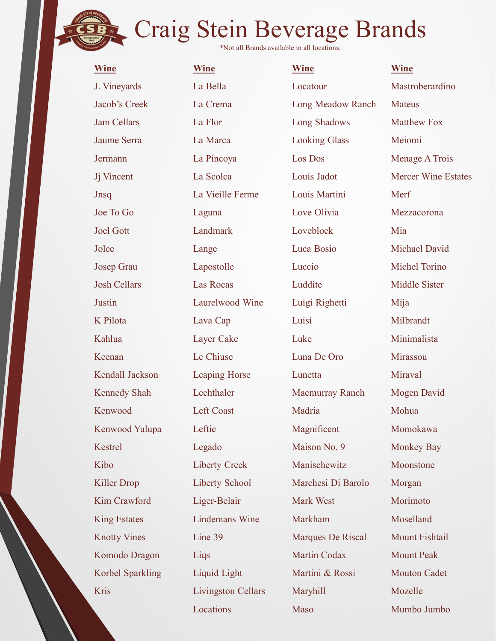| <b>Wine</b>         | <b>Wine</b>               | <b>Wine</b>          | <b>Wine</b>                |
|---------------------|---------------------------|----------------------|----------------------------|
| J. Vineyards        | La Bella                  | Locatour             | Mastroberardino            |
| Jacob's Creek       | La Crema                  | Long Meadow Ranch    | <b>Mateus</b>              |
| <b>Jam Cellars</b>  | La Flor                   | Long Shadows         | <b>Matthew Fox</b>         |
| Jaume Serra         | La Marca                  | <b>Looking Glass</b> | Meiomi                     |
| Jermann             | La Pincoya                | Los Dos              | Menage A Trois             |
| Jj Vincent          | La Scolca                 | Louis Jadot          | <b>Mercer Wine Estates</b> |
| Jnsq                | La Vieille Ferme          | Louis Martini        | Merf                       |
| Joe To Go           | Laguna                    | Love Olivia          | Mezzacorona                |
| <b>Joel Gott</b>    | Landmark                  | Loveblock            | Mia                        |
| Jolee               | Lange                     | Luca Bosio           | <b>Michael David</b>       |
| Josep Grau          | Lapostolle                | Luccio               | Michel Torino              |
| <b>Josh Cellars</b> | Las Rocas                 | Luddite              | <b>Middle Sister</b>       |
| Justin              | Laurelwood Wine           | Luigi Righetti       | Mija                       |
| K Pilota            | Lava Cap                  | Luisi                | Milbrandt                  |
| Kahlua              | Layer Cake                | Luke                 | Minimalista                |
| Keenan              | Le Chiuse                 | Luna De Oro          | Mirassou                   |
| Kendall Jackson     | Leaping Horse             | Lunetta              | Miraval                    |
| Kennedy Shah        | Lechthaler                | Macmurray Ranch      | Mogen David                |
| Kenwood             | Left Coast                | Madria               | Mohua                      |
| Kenwood Yulupa      | Leftie                    | Magnificent          | Momokawa                   |
| Kestrel             | Legado                    | Maison No. 9         | <b>Monkey Bay</b>          |
| Kibo                | Liberty Creek             | Manischewitz         | Moonstone                  |
| <b>Killer Drop</b>  | <b>Liberty School</b>     | Marchesi Di Barolo   | Morgan                     |
| Kim Crawford        | Liger-Belair              | Mark West            | Morimoto                   |
| <b>King Estates</b> | <b>Lindemans Wine</b>     | Markham              | Moselland                  |
| <b>Knotty Vines</b> | Line 39                   | Marques De Riscal    | Mount Fishtail             |
| Komodo Dragon       | Liqs                      | Martin Codax         | <b>Mount Peak</b>          |
| Korbel Sparkling    | Liquid Light              | Martini & Rossi      | <b>Mouton Cadet</b>        |
| Kris                | <b>Livingston Cellars</b> | Maryhill             | Mozelle                    |
|                     |                           |                      |                            |

Locations Maso

Maso Mumbo Jumbo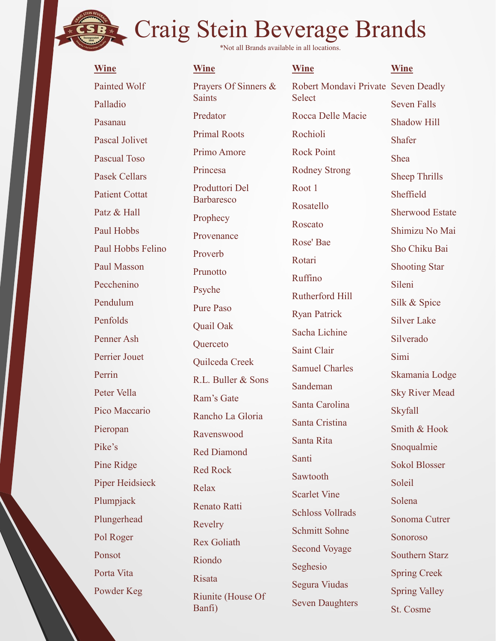\*Not all Brands available in all locations.

| <b>Wine</b>            | <b>Wine</b>                        |  |  |
|------------------------|------------------------------------|--|--|
| <b>Painted Wolf</b>    | Prayers Of Si                      |  |  |
| Palladio               | <b>Saints</b>                      |  |  |
| Pasanau                | Predator                           |  |  |
| <b>Pascal Jolivet</b>  | <b>Primal Roots</b>                |  |  |
| <b>Pascual Toso</b>    | Primo Amore                        |  |  |
| <b>Pasek Cellars</b>   | Princesa                           |  |  |
| <b>Patient Cottat</b>  | Produttori De<br><b>Barbaresco</b> |  |  |
| Patz & Hall            | Prophecy                           |  |  |
| Paul Hobbs             | Provenance                         |  |  |
| Paul Hobbs Felino      | Proverb                            |  |  |
| Paul Masson            | Prunotto                           |  |  |
| Pecchenino             | Psyche                             |  |  |
| Pendulum               | <b>Pure Paso</b>                   |  |  |
| Penfolds               | Quail Oak                          |  |  |
| Penner Ash             | Querceto                           |  |  |
| Perrier Jouet          | Quilceda Cree                      |  |  |
| Perrin                 | R.L. Buller &                      |  |  |
| Peter Vella            | Ram's Gate                         |  |  |
| Pico Maccario          | Rancho La Gl                       |  |  |
| Pieropan               | Ravenswood                         |  |  |
| Pike's                 | <b>Red Diamond</b>                 |  |  |
| Pine Ridge             | <b>Red Rock</b>                    |  |  |
| <b>Piper Heidsieck</b> | Relax                              |  |  |
| Plumpjack              | <b>Renato Ratti</b>                |  |  |
| Plungerhead            | Revelry                            |  |  |
| Pol Roger              | <b>Rex Goliath</b>                 |  |  |
| Ponsot                 | Riondo                             |  |  |
| Porta Vita             | Risata                             |  |  |
| Powder Keg             |                                    |  |  |

Wine Wine Painted Wolf **Prayers Of Sinners & Robert Mond** Palladio and the summer Pasanau and Pasanau Pascual Toso **Example 18 Stein Beverage Bractions**<br> **Example 18 Stein Beverage Bractions.**<br>
Wine Painted Wolf Prayers Of Sinners & Robert Mondavi Private<br>
Palladio<br>
Pasanau Predator Rocca Delle Macie<br>
Pascual Jolivet Primal Roots<br>
Pasc Patient Cottat Barbaresco Reserved by the Reserved Barbaresco Paul Hobbs<br>
Provenance Paul Hobbs Felino Paul Masson Departed Pecchenino D<sub>evele</sub> Pendulum Dura Daga Penfolds Quail Oak Ryan Farrell Penner Ash Querceto Perrin R.L. Buller & Sons Peter Vella<br>
Ram's Gate<br>
<sub>Ram</sub>'s Gate Pico Maccario Rancho La Gloria del Catolina Pieropan Ravenswood Santa Cristina Pike's Red Diamond Pine Ridge Red Rock and Red Rock Piper Heidsieck Delew Plumpjack<br>
Renato Ratti Plungerhead Develop Riunite (House Of Saints Predator Rocca Delle Macie Primal Roots Primo Amore Princesa Rodney Strong 21 TH 11 Stein Beverage Brands<br>
Wine Wine Wine<br>
Prayers Of Sinners & Robert Mondavi Private Seven Deadly<br>
Saints<br>
Predator Rocca Delle Macie<br>
Primal Roots<br>
Primal Roots<br>
Primo Amore Rock Point<br>
Primo Amore Rock Point<br>
Primo Amore R Prophecy Proverb Prunotto Psyche Pure Paso Frimo Amore<br>
Produttori Del<br>
Roder Pook Fonne<br>
Roder Sheep Thrills<br>
Prophecy<br>
Roscato<br>
Provenance<br>
Roscato<br>
Provenance<br>
Roscato<br>
Roscato<br>
Roscato<br>
Roscato<br>
Roscato<br>
Roscato<br>
Sheep Thrills<br>
Sheep Thrills<br>
Sheep Thrills<br>
She Relax Scarlet Vine Revelry Rex Goliath Riondo Risata Ram's Gate<br>
Santa Carolina<br>
Santa Carolina<br>
Santa Cristina<br>
Santa Cristina<br>
Santa Cristina<br>
Santa Cristina<br>
Santa Cristina<br>
Santa Cristina<br>
Santa Rive<br>
Santa Rive<br>
Santa Bookol Blosser<br>
Santa Santa Sokol Blosser<br>
Read Rock Banfi)

**Wine Wine** Select Transitions.<br>
Wine Wine Wine Robert Mondavi Private Seven Deadly<br>
Select Seven Falls<br>
Rocca Delle Macie Shadow Hill<br>
Rochioli Shafer<br>
Rock Point Shea<br>
Rodney Strong<br>
Rodney Strong Rochioli Rock Point Root 1 Rosatello Roscato Rose' Bae<br>Sho Chiku Bai Rotari Ruffino Rutherford Hill Ryan Patrick Sacha Lichine Saint Clair Samuel Charles Sandeman Santa Carolina Santa Cristina Santa Rita Santi Sawtooth Schloss Vollrads Schmitt Sohne Second Voyage Seghesio Segura Viudas Seven Daughters

Robert Mondavi Private Seven Deadly Seven Falls Shadow Hill Shafer Shea Sheep Thrills Sheffield Sherwood Estate Shimizu No Mai Wine<br>Seven Deadly<br>Seven Falls<br>Shadow Hill<br>Shafer<br>Sheep Thrills<br>Sheep Thrills<br>Sheep Thrills<br>Sheffield<br>Sherwood Estate<br>Shimizu No Mai<br>Sho Chiku Bai<br>Sho Chiku Bai<br>Sho Chiku Bai<br>Shooting Star Shooting Star Sileni Silk & Spice Silver Lake Silverado Simi Skamania Lodge Sky River Mead Skyfall Smith & Hook Snoqualmie Sokol Blosser Soleil Solena Sonoma Cutrer Sonoroso Southern Starz Spring Creek Spring Valley St. Cosme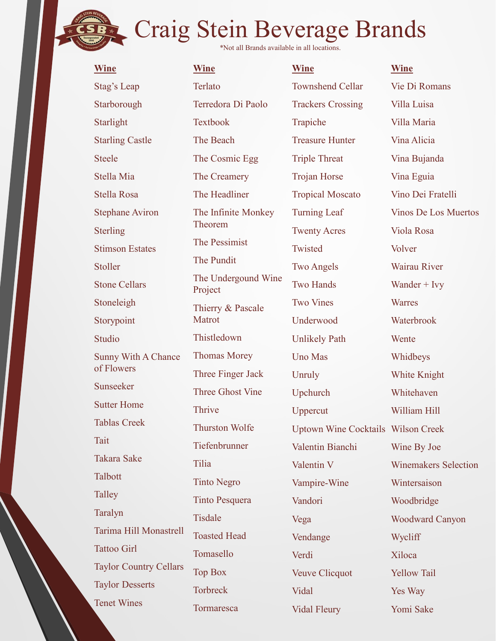| *Not all Brands available in all locations.<br><b>Wine</b><br><b>Wine</b><br><b>Wine</b><br><b>Wine</b><br>Vie Di Romans<br>Terlato<br><b>Townshend Cellar</b><br><b>Stag's Leap</b><br>Starborough<br>Terredora Di Paolo<br><b>Trackers Crossing</b><br>Villa Luisa<br>Starlight<br><b>Textbook</b><br>Trapiche<br>Villa Maria<br><b>Treasure Hunter</b><br>Vina Alicia<br><b>Starling Castle</b><br>The Beach<br><b>Steele</b><br>The Cosmic Egg<br><b>Triple Threat</b><br>Vina Bujanda<br>Stella Mia<br>The Creamery<br>Trojan Horse<br>Vina Eguia<br>The Headliner<br>Stella Rosa<br><b>Tropical Moscato</b><br>Vino Dei Fratelli<br><b>Turning Leaf</b><br><b>Stephane Aviron</b><br>The Infinite Monkey<br><b>Vinos De Los Muertos</b><br>Theorem<br>Viola Rosa<br><b>Sterling</b><br><b>Twenty Acres</b><br>The Pessimist<br>Twisted<br><b>Stimson Estates</b><br>Volver<br>The Pundit<br><b>Two Angels</b><br>Wairau River<br>Stoller<br>The Undergound Wine<br><b>Stone Cellars</b><br><b>Two Hands</b><br>Wander $+$ Ivy<br>Project<br><b>Two Vines</b><br>Stoneleigh<br><b>Warres</b><br>Thierry & Pascale<br>Matrot<br>Underwood<br>Waterbrook<br>Storypoint<br>Thistledown<br>Studio<br><b>Unlikely Path</b><br>Wente<br><b>Thomas Morey</b><br>Sunny With A Chance<br><b>Uno Mas</b><br>Whidbeys<br>of Flowers<br>Three Finger Jack<br>Unruly<br>White Knight<br>Sunseeker<br>Three Ghost Vine<br>Upchurch<br>Whitehaven<br><b>Sutter Home</b><br>Thrive<br>William Hill<br>Uppercut<br><b>Tablas Creek</b><br><b>Thurston Wolfe</b><br><b>Uptown Wine Cocktails Wilson Creek</b><br>Tait<br>Tiefenbrunner<br>Valentin Bianchi<br>Wine By Joe<br><b>Takara Sake</b><br>Tilia<br>Valentin V<br><b>Winemakers Selection</b><br>Talbott<br><b>Tinto Negro</b><br>Vampire-Wine<br>Wintersaison<br>Talley<br><b>Tinto Pesquera</b><br>Vandori<br>Woodbridge<br>Taralyn<br>Tisdale<br><b>Woodward Canyon</b><br>Vega<br>Tarima Hill Monastrell<br><b>Toasted Head</b><br>Wycliff<br>Vendange<br><b>Tattoo Girl</b><br>Tomasello<br>Verdi<br>Xiloca<br><b>Taylor Country Cellars</b><br><b>Top Box</b><br><b>Yellow Tail</b><br>Veuve Clicquot<br><b>Taylor Desserts</b><br><b>Torbreck</b><br>Vidal<br>Yes Way<br><b>Tenet Wines</b><br>Tormaresca |  | Craig Stein Beverage Brands |           |
|-------------------------------------------------------------------------------------------------------------------------------------------------------------------------------------------------------------------------------------------------------------------------------------------------------------------------------------------------------------------------------------------------------------------------------------------------------------------------------------------------------------------------------------------------------------------------------------------------------------------------------------------------------------------------------------------------------------------------------------------------------------------------------------------------------------------------------------------------------------------------------------------------------------------------------------------------------------------------------------------------------------------------------------------------------------------------------------------------------------------------------------------------------------------------------------------------------------------------------------------------------------------------------------------------------------------------------------------------------------------------------------------------------------------------------------------------------------------------------------------------------------------------------------------------------------------------------------------------------------------------------------------------------------------------------------------------------------------------------------------------------------------------------------------------------------------------------------------------------------------------------------------------------------------------------------------------------------------------------------------------------------------------------------------------------------------------------------------------------------------------------------------------------------------------------------------------------------------------------------------------------------|--|-----------------------------|-----------|
|                                                                                                                                                                                                                                                                                                                                                                                                                                                                                                                                                                                                                                                                                                                                                                                                                                                                                                                                                                                                                                                                                                                                                                                                                                                                                                                                                                                                                                                                                                                                                                                                                                                                                                                                                                                                                                                                                                                                                                                                                                                                                                                                                                                                                                                             |  |                             |           |
|                                                                                                                                                                                                                                                                                                                                                                                                                                                                                                                                                                                                                                                                                                                                                                                                                                                                                                                                                                                                                                                                                                                                                                                                                                                                                                                                                                                                                                                                                                                                                                                                                                                                                                                                                                                                                                                                                                                                                                                                                                                                                                                                                                                                                                                             |  |                             |           |
|                                                                                                                                                                                                                                                                                                                                                                                                                                                                                                                                                                                                                                                                                                                                                                                                                                                                                                                                                                                                                                                                                                                                                                                                                                                                                                                                                                                                                                                                                                                                                                                                                                                                                                                                                                                                                                                                                                                                                                                                                                                                                                                                                                                                                                                             |  |                             |           |
|                                                                                                                                                                                                                                                                                                                                                                                                                                                                                                                                                                                                                                                                                                                                                                                                                                                                                                                                                                                                                                                                                                                                                                                                                                                                                                                                                                                                                                                                                                                                                                                                                                                                                                                                                                                                                                                                                                                                                                                                                                                                                                                                                                                                                                                             |  |                             |           |
|                                                                                                                                                                                                                                                                                                                                                                                                                                                                                                                                                                                                                                                                                                                                                                                                                                                                                                                                                                                                                                                                                                                                                                                                                                                                                                                                                                                                                                                                                                                                                                                                                                                                                                                                                                                                                                                                                                                                                                                                                                                                                                                                                                                                                                                             |  |                             |           |
|                                                                                                                                                                                                                                                                                                                                                                                                                                                                                                                                                                                                                                                                                                                                                                                                                                                                                                                                                                                                                                                                                                                                                                                                                                                                                                                                                                                                                                                                                                                                                                                                                                                                                                                                                                                                                                                                                                                                                                                                                                                                                                                                                                                                                                                             |  |                             |           |
|                                                                                                                                                                                                                                                                                                                                                                                                                                                                                                                                                                                                                                                                                                                                                                                                                                                                                                                                                                                                                                                                                                                                                                                                                                                                                                                                                                                                                                                                                                                                                                                                                                                                                                                                                                                                                                                                                                                                                                                                                                                                                                                                                                                                                                                             |  |                             |           |
|                                                                                                                                                                                                                                                                                                                                                                                                                                                                                                                                                                                                                                                                                                                                                                                                                                                                                                                                                                                                                                                                                                                                                                                                                                                                                                                                                                                                                                                                                                                                                                                                                                                                                                                                                                                                                                                                                                                                                                                                                                                                                                                                                                                                                                                             |  |                             |           |
|                                                                                                                                                                                                                                                                                                                                                                                                                                                                                                                                                                                                                                                                                                                                                                                                                                                                                                                                                                                                                                                                                                                                                                                                                                                                                                                                                                                                                                                                                                                                                                                                                                                                                                                                                                                                                                                                                                                                                                                                                                                                                                                                                                                                                                                             |  |                             |           |
|                                                                                                                                                                                                                                                                                                                                                                                                                                                                                                                                                                                                                                                                                                                                                                                                                                                                                                                                                                                                                                                                                                                                                                                                                                                                                                                                                                                                                                                                                                                                                                                                                                                                                                                                                                                                                                                                                                                                                                                                                                                                                                                                                                                                                                                             |  |                             |           |
|                                                                                                                                                                                                                                                                                                                                                                                                                                                                                                                                                                                                                                                                                                                                                                                                                                                                                                                                                                                                                                                                                                                                                                                                                                                                                                                                                                                                                                                                                                                                                                                                                                                                                                                                                                                                                                                                                                                                                                                                                                                                                                                                                                                                                                                             |  |                             |           |
|                                                                                                                                                                                                                                                                                                                                                                                                                                                                                                                                                                                                                                                                                                                                                                                                                                                                                                                                                                                                                                                                                                                                                                                                                                                                                                                                                                                                                                                                                                                                                                                                                                                                                                                                                                                                                                                                                                                                                                                                                                                                                                                                                                                                                                                             |  |                             |           |
|                                                                                                                                                                                                                                                                                                                                                                                                                                                                                                                                                                                                                                                                                                                                                                                                                                                                                                                                                                                                                                                                                                                                                                                                                                                                                                                                                                                                                                                                                                                                                                                                                                                                                                                                                                                                                                                                                                                                                                                                                                                                                                                                                                                                                                                             |  |                             |           |
|                                                                                                                                                                                                                                                                                                                                                                                                                                                                                                                                                                                                                                                                                                                                                                                                                                                                                                                                                                                                                                                                                                                                                                                                                                                                                                                                                                                                                                                                                                                                                                                                                                                                                                                                                                                                                                                                                                                                                                                                                                                                                                                                                                                                                                                             |  |                             |           |
|                                                                                                                                                                                                                                                                                                                                                                                                                                                                                                                                                                                                                                                                                                                                                                                                                                                                                                                                                                                                                                                                                                                                                                                                                                                                                                                                                                                                                                                                                                                                                                                                                                                                                                                                                                                                                                                                                                                                                                                                                                                                                                                                                                                                                                                             |  |                             |           |
|                                                                                                                                                                                                                                                                                                                                                                                                                                                                                                                                                                                                                                                                                                                                                                                                                                                                                                                                                                                                                                                                                                                                                                                                                                                                                                                                                                                                                                                                                                                                                                                                                                                                                                                                                                                                                                                                                                                                                                                                                                                                                                                                                                                                                                                             |  |                             |           |
|                                                                                                                                                                                                                                                                                                                                                                                                                                                                                                                                                                                                                                                                                                                                                                                                                                                                                                                                                                                                                                                                                                                                                                                                                                                                                                                                                                                                                                                                                                                                                                                                                                                                                                                                                                                                                                                                                                                                                                                                                                                                                                                                                                                                                                                             |  |                             |           |
|                                                                                                                                                                                                                                                                                                                                                                                                                                                                                                                                                                                                                                                                                                                                                                                                                                                                                                                                                                                                                                                                                                                                                                                                                                                                                                                                                                                                                                                                                                                                                                                                                                                                                                                                                                                                                                                                                                                                                                                                                                                                                                                                                                                                                                                             |  |                             |           |
|                                                                                                                                                                                                                                                                                                                                                                                                                                                                                                                                                                                                                                                                                                                                                                                                                                                                                                                                                                                                                                                                                                                                                                                                                                                                                                                                                                                                                                                                                                                                                                                                                                                                                                                                                                                                                                                                                                                                                                                                                                                                                                                                                                                                                                                             |  |                             |           |
|                                                                                                                                                                                                                                                                                                                                                                                                                                                                                                                                                                                                                                                                                                                                                                                                                                                                                                                                                                                                                                                                                                                                                                                                                                                                                                                                                                                                                                                                                                                                                                                                                                                                                                                                                                                                                                                                                                                                                                                                                                                                                                                                                                                                                                                             |  |                             |           |
|                                                                                                                                                                                                                                                                                                                                                                                                                                                                                                                                                                                                                                                                                                                                                                                                                                                                                                                                                                                                                                                                                                                                                                                                                                                                                                                                                                                                                                                                                                                                                                                                                                                                                                                                                                                                                                                                                                                                                                                                                                                                                                                                                                                                                                                             |  |                             |           |
|                                                                                                                                                                                                                                                                                                                                                                                                                                                                                                                                                                                                                                                                                                                                                                                                                                                                                                                                                                                                                                                                                                                                                                                                                                                                                                                                                                                                                                                                                                                                                                                                                                                                                                                                                                                                                                                                                                                                                                                                                                                                                                                                                                                                                                                             |  |                             |           |
|                                                                                                                                                                                                                                                                                                                                                                                                                                                                                                                                                                                                                                                                                                                                                                                                                                                                                                                                                                                                                                                                                                                                                                                                                                                                                                                                                                                                                                                                                                                                                                                                                                                                                                                                                                                                                                                                                                                                                                                                                                                                                                                                                                                                                                                             |  |                             |           |
|                                                                                                                                                                                                                                                                                                                                                                                                                                                                                                                                                                                                                                                                                                                                                                                                                                                                                                                                                                                                                                                                                                                                                                                                                                                                                                                                                                                                                                                                                                                                                                                                                                                                                                                                                                                                                                                                                                                                                                                                                                                                                                                                                                                                                                                             |  |                             |           |
|                                                                                                                                                                                                                                                                                                                                                                                                                                                                                                                                                                                                                                                                                                                                                                                                                                                                                                                                                                                                                                                                                                                                                                                                                                                                                                                                                                                                                                                                                                                                                                                                                                                                                                                                                                                                                                                                                                                                                                                                                                                                                                                                                                                                                                                             |  |                             |           |
|                                                                                                                                                                                                                                                                                                                                                                                                                                                                                                                                                                                                                                                                                                                                                                                                                                                                                                                                                                                                                                                                                                                                                                                                                                                                                                                                                                                                                                                                                                                                                                                                                                                                                                                                                                                                                                                                                                                                                                                                                                                                                                                                                                                                                                                             |  |                             |           |
|                                                                                                                                                                                                                                                                                                                                                                                                                                                                                                                                                                                                                                                                                                                                                                                                                                                                                                                                                                                                                                                                                                                                                                                                                                                                                                                                                                                                                                                                                                                                                                                                                                                                                                                                                                                                                                                                                                                                                                                                                                                                                                                                                                                                                                                             |  |                             |           |
|                                                                                                                                                                                                                                                                                                                                                                                                                                                                                                                                                                                                                                                                                                                                                                                                                                                                                                                                                                                                                                                                                                                                                                                                                                                                                                                                                                                                                                                                                                                                                                                                                                                                                                                                                                                                                                                                                                                                                                                                                                                                                                                                                                                                                                                             |  |                             |           |
|                                                                                                                                                                                                                                                                                                                                                                                                                                                                                                                                                                                                                                                                                                                                                                                                                                                                                                                                                                                                                                                                                                                                                                                                                                                                                                                                                                                                                                                                                                                                                                                                                                                                                                                                                                                                                                                                                                                                                                                                                                                                                                                                                                                                                                                             |  |                             |           |
|                                                                                                                                                                                                                                                                                                                                                                                                                                                                                                                                                                                                                                                                                                                                                                                                                                                                                                                                                                                                                                                                                                                                                                                                                                                                                                                                                                                                                                                                                                                                                                                                                                                                                                                                                                                                                                                                                                                                                                                                                                                                                                                                                                                                                                                             |  |                             |           |
|                                                                                                                                                                                                                                                                                                                                                                                                                                                                                                                                                                                                                                                                                                                                                                                                                                                                                                                                                                                                                                                                                                                                                                                                                                                                                                                                                                                                                                                                                                                                                                                                                                                                                                                                                                                                                                                                                                                                                                                                                                                                                                                                                                                                                                                             |  |                             |           |
|                                                                                                                                                                                                                                                                                                                                                                                                                                                                                                                                                                                                                                                                                                                                                                                                                                                                                                                                                                                                                                                                                                                                                                                                                                                                                                                                                                                                                                                                                                                                                                                                                                                                                                                                                                                                                                                                                                                                                                                                                                                                                                                                                                                                                                                             |  | Vidal Fleury                | Yomi Sake |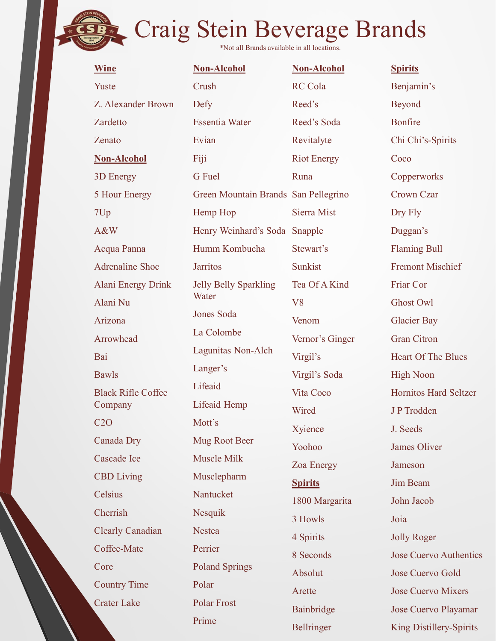| <b>Wine</b>               | Non-Alcohol                          | <b>Non-Alcohol</b> | <b>Spirits</b>                |
|---------------------------|--------------------------------------|--------------------|-------------------------------|
| Yuste                     | Crush                                | <b>RC</b> Cola     | Benjamin's                    |
| Z. Alexander Brown        | Defy                                 | Reed's             | Beyond                        |
| Zardetto                  | <b>Essentia Water</b>                | Reed's Soda        | <b>Bonfire</b>                |
| Zenato                    | Evian                                | Revitalyte         | Chi Chi's-Spirits             |
| <b>Non-Alcohol</b>        | Fiji                                 | <b>Riot Energy</b> | Coco                          |
| 3D Energy                 | G Fuel                               | Runa               | Copperworks                   |
| 5 Hour Energy             | Green Mountain Brands San Pellegrino |                    | Crown Czar                    |
| 7Up                       | Hemp Hop                             | Sierra Mist        | Dry Fly                       |
| A&W                       | Henry Weinhard's Soda Snapple        |                    | Duggan's                      |
| Acqua Panna               | Humm Kombucha                        | Stewart's          | <b>Flaming Bull</b>           |
| Adrenaline Shoc           | <b>Jarritos</b>                      | Sunkist            | <b>Fremont Mischief</b>       |
| Alani Energy Drink        | <b>Jelly Belly Sparkling</b>         | Tea Of A Kind      | Friar Cor                     |
| Alani Nu                  | Water                                | V8                 | Ghost Owl                     |
| Arizona                   | Jones Soda                           | Venom              | <b>Glacier Bay</b>            |
| Arrowhead                 | La Colombe                           | Vernor's Ginger    | <b>Gran Citron</b>            |
| Bai                       | Lagunitas Non-Alch                   | Virgil's           | <b>Heart Of The Blues</b>     |
| <b>Bawls</b>              | Langer's                             | Virgil's Soda      | <b>High Noon</b>              |
| <b>Black Rifle Coffee</b> | Lifeaid                              | Vita Coco          | Hornitos Hard Seltzer         |
| Company                   | Lifeaid Hemp                         | Wired              | J P Trodden                   |
| C2O                       | Mott's                               | Xyience            | J. Seeds                      |
| Canada Dry                | Mug Root Beer                        | Yoohoo             | James Oliver                  |
| Cascade Ice               | Muscle Milk                          | Zoa Energy         | Jameson                       |
| <b>CBD</b> Living         | Musclepharm                          | <b>Spirits</b>     | Jim Beam                      |
| Celsius                   | Nantucket                            | 1800 Margarita     | John Jacob                    |
| Cherrish                  | Nesquik                              | 3 Howls            | Joia                          |
| <b>Clearly Canadian</b>   | <b>Nestea</b>                        | 4 Spirits          | <b>Jolly Roger</b>            |
| Coffee-Mate               | Perrier                              | 8 Seconds          | <b>Jose Cuervo Authentics</b> |
| Core                      | <b>Poland Springs</b>                | Absolut            | Jose Cuervo Gold              |
| <b>Country Time</b>       | Polar                                | Arette             | <b>Jose Cuervo Mixers</b>     |
| <b>Crater Lake</b>        | Polar Frost                          | Bainbridge         | Jose Cuervo Playamar          |

Bellringer

Prime

King Distillery-Spirits